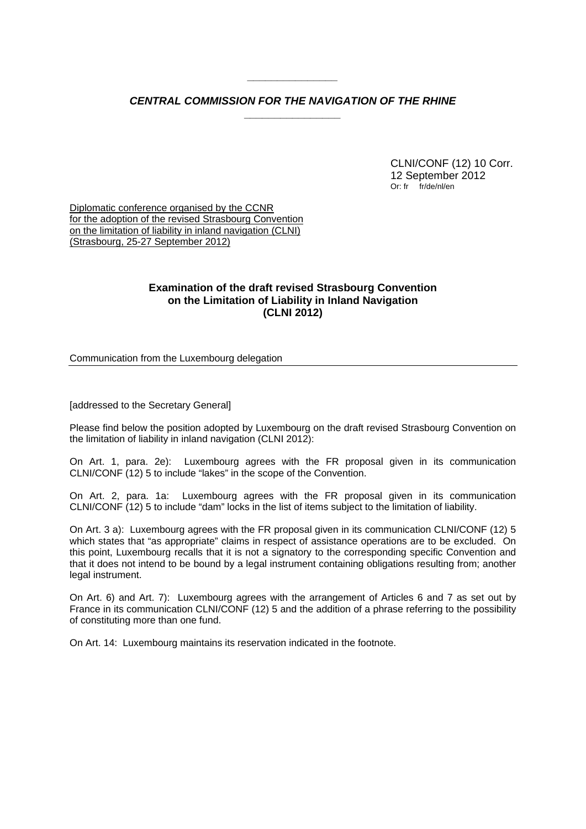## *CENTRAL COMMISSION FOR THE NAVIGATION OF THE RHINE \_\_\_\_\_\_\_\_\_\_\_\_\_\_\_\_*

*\_\_\_\_\_\_\_\_\_\_\_\_\_\_\_* 

 CLNI/CONF (12) 10 Corr. 12 September 2012 Or: fr fr/de/nl/en

Diplomatic conference organised by the CCNR for the adoption of the revised Strasbourg Convention on the limitation of liability in inland navigation (CLNI) (Strasbourg, 25-27 September 2012)

## **Examination of the draft revised Strasbourg Convention on the Limitation of Liability in Inland Navigation (CLNI 2012)**

Communication from the Luxembourg delegation

[addressed to the Secretary General]

Please find below the position adopted by Luxembourg on the draft revised Strasbourg Convention on the limitation of liability in inland navigation (CLNI 2012):

On Art. 1, para. 2e): Luxembourg agrees with the FR proposal given in its communication CLNI/CONF (12) 5 to include "lakes" in the scope of the Convention.

On Art. 2, para. 1a: Luxembourg agrees with the FR proposal given in its communication CLNI/CONF (12) 5 to include "dam" locks in the list of items subject to the limitation of liability.

On Art. 3 a): Luxembourg agrees with the FR proposal given in its communication CLNI/CONF (12) 5 which states that "as appropriate" claims in respect of assistance operations are to be excluded. On this point, Luxembourg recalls that it is not a signatory to the corresponding specific Convention and that it does not intend to be bound by a legal instrument containing obligations resulting from; another legal instrument.

On Art. 6) and Art. 7): Luxembourg agrees with the arrangement of Articles 6 and 7 as set out by France in its communication CLNI/CONF (12) 5 and the addition of a phrase referring to the possibility of constituting more than one fund.

On Art. 14: Luxembourg maintains its reservation indicated in the footnote.